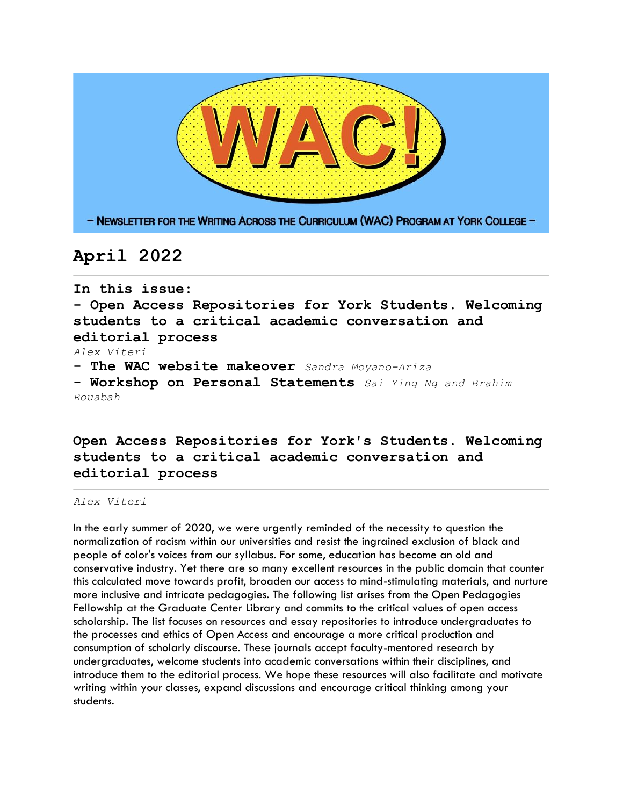

# **April 2022**

**In this issue: - Open Access Repositories for York Students. Welcoming students to a critical academic conversation and editorial process**  *Alex Viteri* **- The WAC website makeover** *Sandra Moyano-Ariza* **- Workshop on Personal Statements** *Sai Ying Ng and Brahim Rouabah* 

## **Open Access Repositories for York's Students. Welcoming students to a critical academic conversation and editorial process**

#### *Alex Viteri*

In the early summer of 2020, we were urgently reminded of the necessity to question the normalization of racism within our universities and resist the ingrained exclusion of black and people of color's voices from our syllabus. For some, education has become an old and conservative industry. Yet there are so many excellent resources in the public domain that counter this calculated move towards profit, broaden our access to mind-stimulating materials, and nurture more inclusive and intricate pedagogies. The following list arises from the Open Pedagogies Fellowship at the Graduate Center Library and commits to the critical values of open access scholarship. The list focuses on resources and essay repositories to introduce undergraduates to the processes and ethics of Open Access and encourage a more critical production and consumption of scholarly discourse. These journals accept faculty-mentored research by undergraduates, welcome students into academic conversations within their disciplines, and introduce them to the editorial process. We hope these resources will also facilitate and motivate writing within your classes, expand discussions and encourage critical thinking among your students.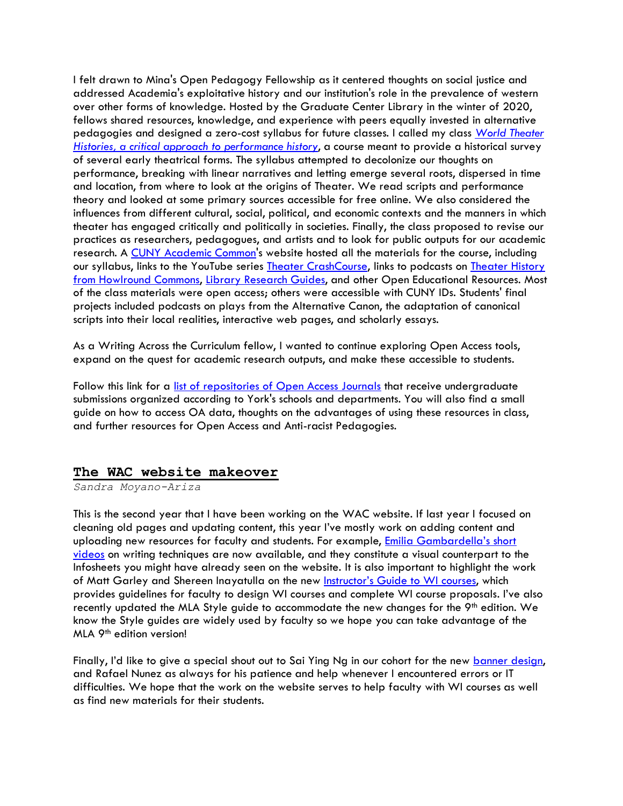I felt drawn to Mina's Open Pedagogy Fellowship as it centered thoughts on social justice and addressed Academia's exploitative history and our institution's role in the prevalence of western over other forms of knowledge. Hosted by the Graduate Center Library in the winter of 2020, fellows shared resources, knowledge, and experience with peers equally invested in alternative pedagogies and designed a zero-cost syllabus for future classes. I called my class *[World Theater](https://wtheahistories.commons.gc.cuny.edu/)  [Histories, a critical approach to performance history](https://wtheahistories.commons.gc.cuny.edu/)*, a course meant to provide a historical survey of several early theatrical forms. The syllabus attempted to decolonize our thoughts on performance, breaking with linear narratives and letting emerge several roots, dispersed in time and location, from where to look at the origins of Theater. We read scripts and performance theory and looked at some primary sources accessible for free online. We also considered the influences from different cultural, social, political, and economic contexts and the manners in which theater has engaged critically and politically in societies. Finally, the class proposed to revise our practices as researchers, pedagogues, and artists and to look for public outputs for our academic research. A [CUNY Academic Common'](https://commons.gc.cuny.edu/)s website hosted all the materials for the course, including our syllabus, links to the YouTube series **Theater CrashCourse**, links to podcasts on **Theater History** [from Howlround Commons,](https://howlround.com/series/theatre-history-podcast) [Library Research Guides,](https://wtheahistories.commons.gc.cuny.edu/resources/) and other Open Educational Resources. Most of the class materials were open access; others were accessible with CUNY IDs. Students' final projects included podcasts on plays from the Alternative Canon, the adaptation of canonical scripts into their local realities, interactive web pages, and scholarly essays.

As a Writing Across the Curriculum fellow, I wanted to continue exploring Open Access tools, expand on the quest for academic research outputs, and make these accessible to students.

Follow this link for a [list of repositories of Open Access Journals](https://www.york.cuny.edu/wac/resources/open-access-resources-for-york-students) that receive undergraduate submissions organized according to York's schools and departments. You will also find a small guide on how to access OA data, thoughts on the advantages of using these resources in class, and further resources for Open Access and Anti-racist Pedagogies.

#### **The WAC website makeover**

*Sandra Moyano-Ariza*

This is the second year that I have been working on the WAC website. If last year I focused on cleaning old pages and updating content, this year I've mostly work on adding content and uploading new resources for faculty and students. For example, Emilia Gambardella's short [videos](https://www.york.cuny.edu/wac/resources/videos-writing-tips-and-techniques) on writing techniques are now available, and they constitute a visual counterpart to the Infosheets you might have already seen on the website. It is also important to highlight the work of Matt Garley and Shereen Inayatulla on the new [Instructor's Guide to WI courses](https://www.york.cuny.edu/wac/wi-course-information/a-guide-for-writing-intensive-courses), which provides guidelines for faculty to design WI courses and complete WI course proposals. I've also recently updated the MLA Style guide to accommodate the new changes for the  $9<sup>th</sup>$  edition. We know the Style guides are widely used by faculty so we hope you can take advantage of the MLA 9th edition version!

Finally, I'd like to give a special shout out to Sai Ying Ng in our cohort for the new [banner design,](https://www.york.cuny.edu/wac) and Rafael Nunez as always for his patience and help whenever I encountered errors or IT difficulties. We hope that the work on the website serves to help faculty with WI courses as well as find new materials for their students.